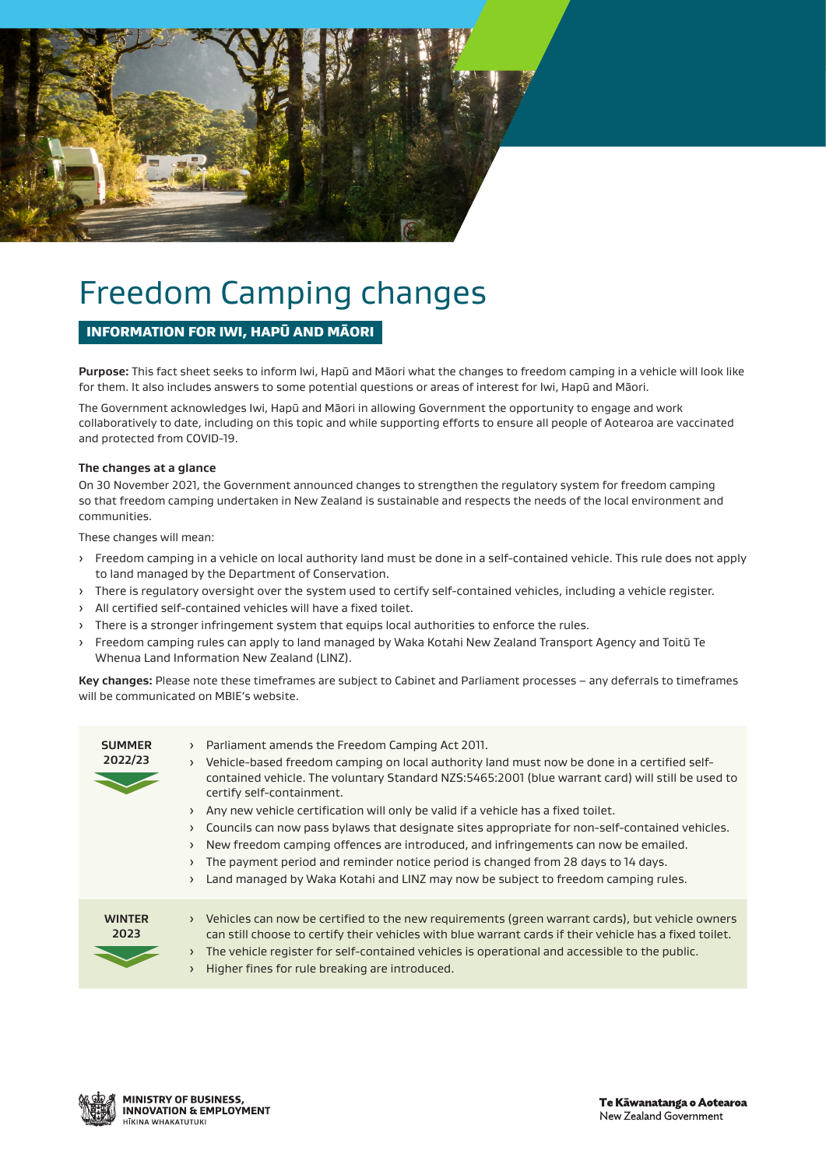

# Freedom Camping changes

# INFORMATION FOR IWI, HAPŪ AND MĀORI

**Purpose:** This fact sheet seeks to inform Iwi, Hapū and Māori what the changes to freedom camping in a vehicle will look like for them. It also includes answers to some potential questions or areas of interest for Iwi, Hapū and Māori.

The Government acknowledges Iwi, Hapū and Māori in allowing Government the opportunity to engage and work collaboratively to date, including on this topic and while supporting efforts to ensure all people of Aotearoa are vaccinated and protected from COVID-19.

# **The changes at a glance**

On 30 November 2021, the Government announced changes to strengthen the regulatory system for freedom camping so that freedom camping undertaken in New Zealand is sustainable and respects the needs of the local environment and communities.

These changes will mean:

- › Freedom camping in a vehicle on local authority land must be done in a self-contained vehicle. This rule does not apply to land managed by the Department of Conservation.
- › There is regulatory oversight over the system used to certify self-contained vehicles, including a vehicle register.
- › All certified self-contained vehicles will have a fixed toilet.
- › There is a stronger infringement system that equips local authorities to enforce the rules.
- › Freedom camping rules can apply to land managed by Waka Kotahi New Zealand Transport Agency and Toitū Te Whenua Land Information New Zealand (LINZ).

**Key changes:** Please note these timeframes are subject to Cabinet and Parliament processes – any deferrals to timeframes will be communicated on MBIE's website.

| <b>SUMMER</b><br>2022/23 | Parliament amends the Freedom Camping Act 2011.<br>$\rightarrow$<br>Vehicle-based freedom camping on local authority land must now be done in a certified self-<br>$\rightarrow$<br>contained vehicle. The voluntary Standard NZS:5465:2001 (blue warrant card) will still be used to<br>certify self-containment.<br>Any new vehicle certification will only be valid if a vehicle has a fixed toilet.<br>Councils can now pass by laws that designate sites appropriate for non-self-contained vehicles.<br>$\rightarrow$<br>New freedom camping offences are introduced, and infringements can now be emailed.<br>$\rightarrow$<br>The payment period and reminder notice period is changed from 28 days to 14 days.<br>Land managed by Waka Kotahi and LINZ may now be subject to freedom camping rules. |
|--------------------------|--------------------------------------------------------------------------------------------------------------------------------------------------------------------------------------------------------------------------------------------------------------------------------------------------------------------------------------------------------------------------------------------------------------------------------------------------------------------------------------------------------------------------------------------------------------------------------------------------------------------------------------------------------------------------------------------------------------------------------------------------------------------------------------------------------------|
| <b>WINTER</b><br>2023    | Vehicles can now be certified to the new requirements (green warrant cards), but vehicle owners<br>$\rightarrow$<br>can still choose to certify their vehicles with blue warrant cards if their vehicle has a fixed toilet.<br>The vehicle register for self-contained vehicles is operational and accessible to the public.<br>Higher fines for rule breaking are introduced.                                                                                                                                                                                                                                                                                                                                                                                                                               |

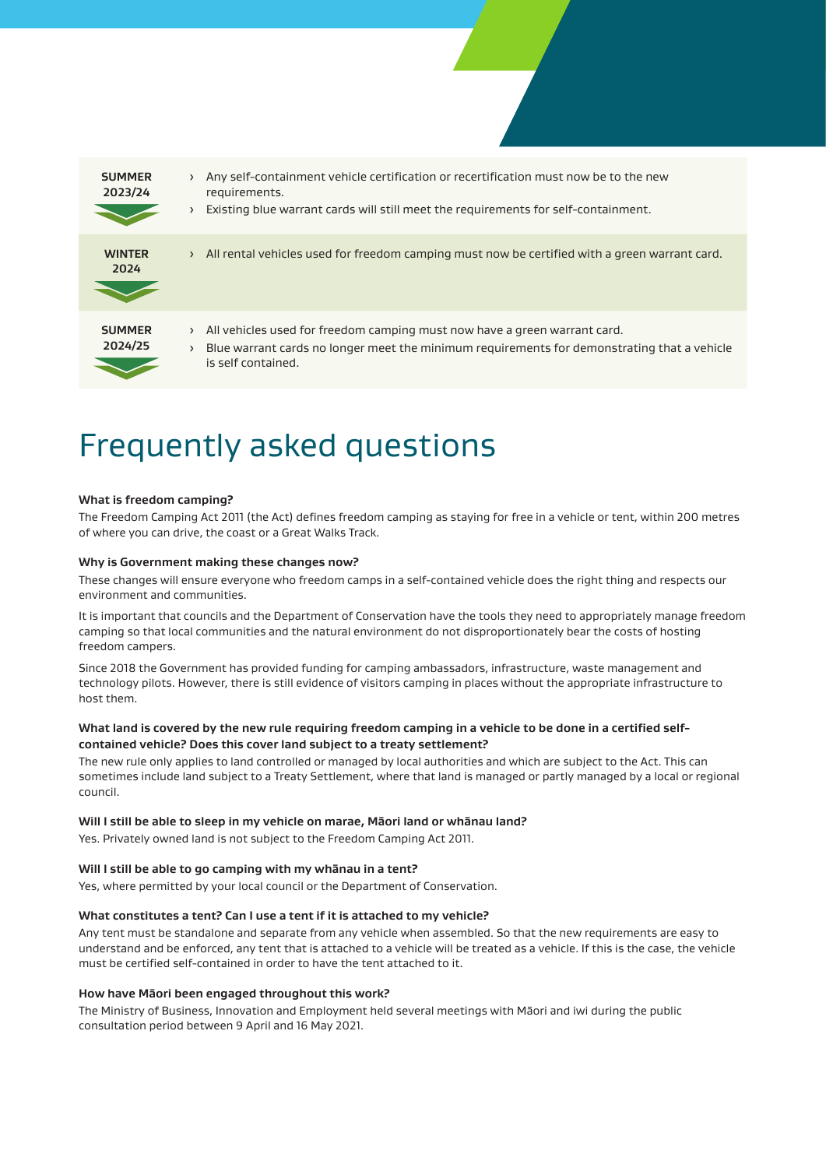

# Frequently asked questions

# **What is freedom camping?**

The Freedom Camping Act 2011 (the Act) defines freedom camping as staying for free in a vehicle or tent, within 200 metres of where you can drive, the coast or a Great Walks Track.

#### **Why is Government making these changes now?**

These changes will ensure everyone who freedom camps in a self-contained vehicle does the right thing and respects our environment and communities.

It is important that councils and the Department of Conservation have the tools they need to appropriately manage freedom camping so that local communities and the natural environment do not disproportionately bear the costs of hosting freedom campers.

Since 2018 the Government has provided funding for camping ambassadors, infrastructure, waste management and technology pilots. However, there is still evidence of visitors camping in places without the appropriate infrastructure to host them.

# **What land is covered by the new rule requiring freedom camping in a vehicle to be done in a certified selfcontained vehicle? Does this cover land subject to a treaty settlement?**

The new rule only applies to land controlled or managed by local authorities and which are subject to the Act. This can sometimes include land subject to a Treaty Settlement, where that land is managed or partly managed by a local or regional council.

#### **Will I still be able to sleep in my vehicle on marae, Māori land or whānau land?**

Yes. Privately owned land is not subject to the Freedom Camping Act 2011.

#### **Will I still be able to go camping with my whānau in a tent?**

Yes, where permitted by your local council or the Department of Conservation.

#### **What constitutes a tent? Can I use a tent if it is attached to my vehicle?**

Any tent must be standalone and separate from any vehicle when assembled. So that the new requirements are easy to understand and be enforced, any tent that is attached to a vehicle will be treated as a vehicle. If this is the case, the vehicle must be certified self-contained in order to have the tent attached to it.

### **How have Māori been engaged throughout this work?**

The Ministry of Business, Innovation and Employment held several meetings with Māori and iwi during the public consultation period between 9 April and 16 May 2021.